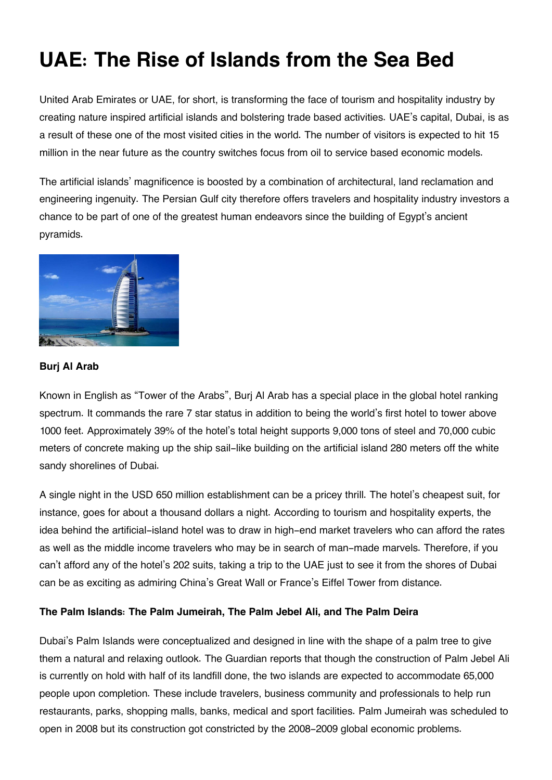# **UAE: The Rise of Islands from the Sea Bed**

United Arab Emirates or UAE, for short, is transforming the face of tourism and hospitality industry by creating nature inspired artificial islands and bolstering trade based activities. UAE's capital, Dubai, is as a result of these one of the most visited cities in the world. The number of visitors is expected to hit 15 million in the near future as the country switches focus from oil to service based economic models.

The artificial islands' magnificence is boosted by a combination of architectural, land reclamation and engineering ingenuity. The Persian Gulf city therefore offers travelers and hospitality industry investors a chance to be part of one of the greatest human endeavors since the building of Egypt's ancient pyramids.



### **Burj Al Arab**

Known in English as "Tower of the Arabs", Burj Al Arab has a special place in the global hotel ranking spectrum. It commands the rare 7 star status in addition to being the world's first hotel to tower above 1000 feet. Approximately 39% of the hotel's total height supports 9,000 tons of steel and 70,000 cubic meters of concrete making up the ship sail-like building on the artificial island 280 meters off the white sandy shorelines of Dubai.

A single night in the USD 650 million establishment can be a pricey thrill. The hotel's cheapest suit, for instance, goes for about a thousand dollars a night. According to tourism and hospitality experts, the idea behind the artificial-island hotel was to draw in high-end market travelers who can afford the rates as well as the middle income travelers who may be in search of man-made marvels. Therefore, if you can't afford any of the hotel's 202 suits, taking a trip to the UAE just to see it from the shores of Dubai can be as exciting as admiring China's Great Wall or France's Eiffel Tower from distance.

## **The Palm Islands: The Palm Jumeirah, The Palm Jebel Ali, and The Palm Deira**

Dubai's Palm Islands were conceptualized and designed in line with the shape of a palm tree to give them a natural and relaxing outlook. The Guardian reports that though the construction of Palm Jebel Ali is currently on hold with half of its landfill done, the two islands are expected to accommodate 65,000 people upon completion. These include travelers, business community and professionals to help run restaurants, parks, shopping malls, banks, medical and sport facilities. Palm Jumeirah was scheduled to open in 2008 but its construction got constricted by the 2008-2009 global economic problems.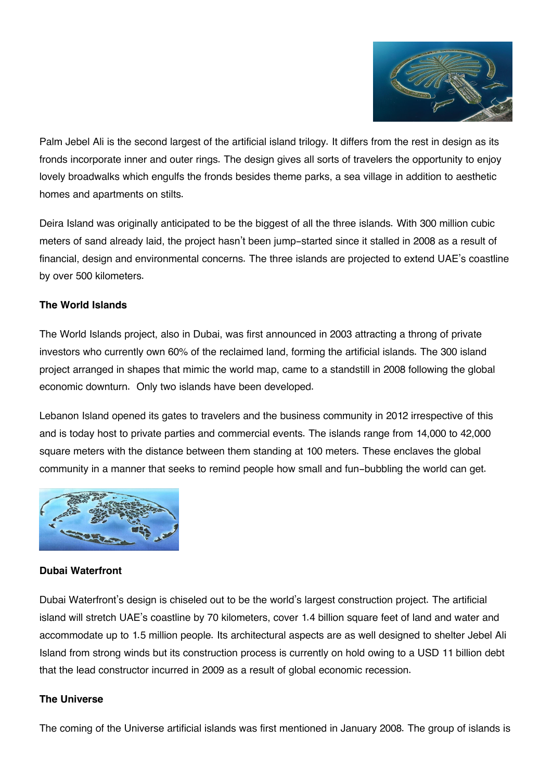

Palm Jebel Ali is the second largest of the artificial island trilogy. It differs from the rest in design as its fronds incorporate inner and outer rings. The design gives all sorts of travelers the opportunity to enjoy lovely broadwalks which engulfs the fronds besides theme parks, a sea village in addition to aesthetic homes and apartments on stilts.

Deira Island was originally anticipated to be the biggest of all the three islands. With 300 million cubic meters of sand already laid, the project hasn't been jump-started since it stalled in 2008 as a result of financial, design and environmental concerns. The three islands are projected to extend UAE's coastline by over 500 kilometers.

### **The World Islands**

The World Islands project, also in Dubai, was first announced in 2003 attracting a throng of private investors who currently own 60% of the reclaimed land, forming the artificial islands. The 300 island project arranged in shapes that mimic the world map, came to a standstill in 2008 following the global economic downturn. Only two islands have been developed.

Lebanon Island opened its gates to travelers and the business community in 2012 irrespective of this and is today host to private parties and commercial events. The islands range from 14,000 to 42,000 square meters with the distance between them standing at 100 meters. These enclaves the global community in a manner that seeks to remind people how small and fun-bubbling the world can get.



## **Dubai Waterfront**

Dubai Waterfront's design is chiseled out to be the world's largest construction project. The artificial island will stretch UAE's coastline by 70 kilometers, cover 1.4 billion square feet of land and water and accommodate up to 1.5 million people. Its architectural aspects are as well designed to shelter Jebel Ali Island from strong winds but its construction process is currently on hold owing to a USD 11 billion debt that the lead constructor incurred in 2009 as a result of global economic recession.

#### **The Universe**

The coming of the Universe artificial islands was first mentioned in January 2008. The group of islands is